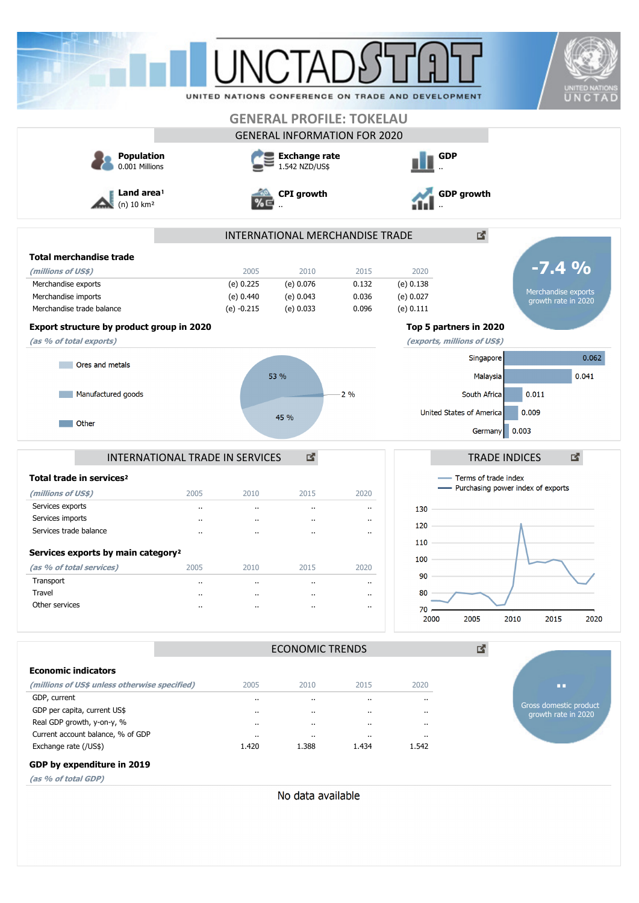| <b>Population</b>                                          |                      | I INCTA              | <b>GENERAL PROFILE: TOKELAU</b><br><b>GENERAL INFORMATION FOR 2020</b> |                               | UNITED NATIONS CONFERENCE ON TRADE AND DEVELOPMENT | <b>GDP</b>                          |                                               | <b>UNITED NATION</b><br>UNCTAD |
|------------------------------------------------------------|----------------------|----------------------|------------------------------------------------------------------------|-------------------------------|----------------------------------------------------|-------------------------------------|-----------------------------------------------|--------------------------------|
| 0.001 Millions                                             |                      |                      | <b>Exchange rate</b><br>1.542 NZD/US\$                                 |                               |                                                    |                                     |                                               |                                |
| Land area <sup>1</sup><br>$(n)$ 10 $km2$                   |                      |                      | <b>CPI</b> growth                                                      |                               |                                                    | <b>GDP</b> growth                   |                                               |                                |
|                                                            |                      |                      | INTERNATIONAL MERCHANDISE TRADE                                        |                               |                                                    | 國                                   |                                               |                                |
| <b>Total merchandise trade</b>                             |                      |                      |                                                                        |                               |                                                    |                                     |                                               |                                |
| (millions of US\$)                                         |                      | 2005                 | 2010                                                                   | 2015                          | 2020                                               |                                     | $-7.4\%$                                      |                                |
| Merchandise exports                                        |                      | (e) 0.225            | $(e)$ 0.076                                                            | 0.132                         | (e) 0.138                                          |                                     | Merchandise exports                           |                                |
| Merchandise imports                                        |                      | (e) 0.440            | (e) 0.043                                                              | 0.036                         | (e) 0.027                                          |                                     | growth rate in 2020                           |                                |
| Merchandise trade balance                                  |                      | $(e) -0.215$         | (e) 0.033                                                              | 0.096                         | (e) 0.111                                          |                                     |                                               |                                |
| Export structure by product group in 2020                  |                      |                      |                                                                        |                               |                                                    | Top 5 partners in 2020              |                                               |                                |
| (as % of total exports)                                    |                      |                      |                                                                        |                               |                                                    | (exports, millions of US\$)         |                                               |                                |
| Ores and metals                                            |                      |                      |                                                                        |                               |                                                    | Singapore                           |                                               | 0.062                          |
|                                                            |                      |                      | 53 %                                                                   |                               |                                                    | Malaysia                            |                                               | 0.041                          |
| Manufactured goods                                         |                      |                      |                                                                        | $2\%$                         |                                                    | South Africa                        | 0.011                                         |                                |
|                                                            |                      |                      |                                                                        |                               |                                                    | United States of America            | 0.009                                         |                                |
| Other                                                      |                      |                      | 45 %                                                                   |                               |                                                    | Germany                             | 0.003                                         |                                |
| INTERNATIONAL TRADE IN SERVICES                            |                      |                      | 図                                                                      |                               |                                                    | <b>TRADE INDICES</b>                | 図                                             |                                |
| Total trade in services <sup>2</sup>                       |                      |                      |                                                                        |                               |                                                    | Terms of trade index                |                                               |                                |
| (millions of US\$)                                         | 2005                 | 2010                 | 2015                                                                   | 2020                          |                                                    | - Purchasing power index of exports |                                               |                                |
| Services exports                                           |                      | $\cdot$ .            | $\cdot$ .                                                              | $\ddot{\phantom{a}}$          | 130                                                |                                     |                                               |                                |
| Services imports                                           |                      | .,                   | $\cdot$ .                                                              | $\cdot$ .                     | 120                                                |                                     |                                               |                                |
| Services trade balance                                     | $\ddot{\phantom{a}}$ | $\cdot$              | $\cdot$                                                                | $\ddot{\phantom{a}}$          |                                                    |                                     |                                               |                                |
| Services exports by main category <sup>2</sup>             |                      |                      |                                                                        |                               | 110                                                |                                     |                                               |                                |
| (as % of total services)                                   | 2005                 | 2010                 | 2015                                                                   | 2020                          | 100                                                |                                     |                                               |                                |
| Transport                                                  |                      | $\ldots$             | $\ddot{\phantom{1}}$                                                   | $\cdot$ .                     | 90                                                 |                                     |                                               |                                |
| Travel                                                     |                      | $\ddot{\phantom{a}}$ | $\ddot{\phantom{a}}$                                                   | $\ddot{\phantom{0}}$          | 80                                                 |                                     |                                               |                                |
| Other services                                             | $\ddot{\phantom{a}}$ |                      | $\ddot{\phantom{a}}$                                                   | $\cdot$ .                     | $70 -$                                             |                                     |                                               |                                |
|                                                            |                      |                      |                                                                        |                               | 2000                                               | 2005<br>2010                        | 2015                                          | 2020                           |
|                                                            |                      |                      | <b>ECONOMIC TRENDS</b>                                                 |                               |                                                    | 國                                   |                                               |                                |
| <b>Economic indicators</b>                                 |                      |                      |                                                                        |                               |                                                    |                                     |                                               |                                |
| (millions of US\$ unless otherwise specified)              |                      | 2005                 | 2010                                                                   | 2015                          | 2020                                               |                                     | п.                                            |                                |
| GDP, current                                               |                      | $\ddot{\phantom{a}}$ | $\cdot$ .                                                              | $\cdot$                       | $\ddot{\phantom{0}}$                               |                                     |                                               |                                |
| GDP per capita, current US\$                               |                      |                      | $\cdot$ .                                                              | $\cdot$                       | $\ddot{\phantom{0}}$                               |                                     | Gross domestic product<br>growth rate in 2020 |                                |
| Real GDP growth, y-on-y, %                                 |                      | $\cdot$              | $\cdot$ .                                                              | $\cdot$ .                     | $\ddot{\phantom{0}}$                               |                                     |                                               |                                |
|                                                            |                      |                      |                                                                        |                               |                                                    |                                     |                                               |                                |
| Current account balance, % of GDP<br>Exchange rate (/US\$) |                      | $\cdot$ .<br>1.420   | $\cdot$ .<br>1.388                                                     | $\ddot{\phantom{0}}$<br>1.434 | $\cdot$<br>1.542                                   |                                     |                                               |                                |

### **GDP by expenditure in 2019**

**(as % of total GDP)**

No data available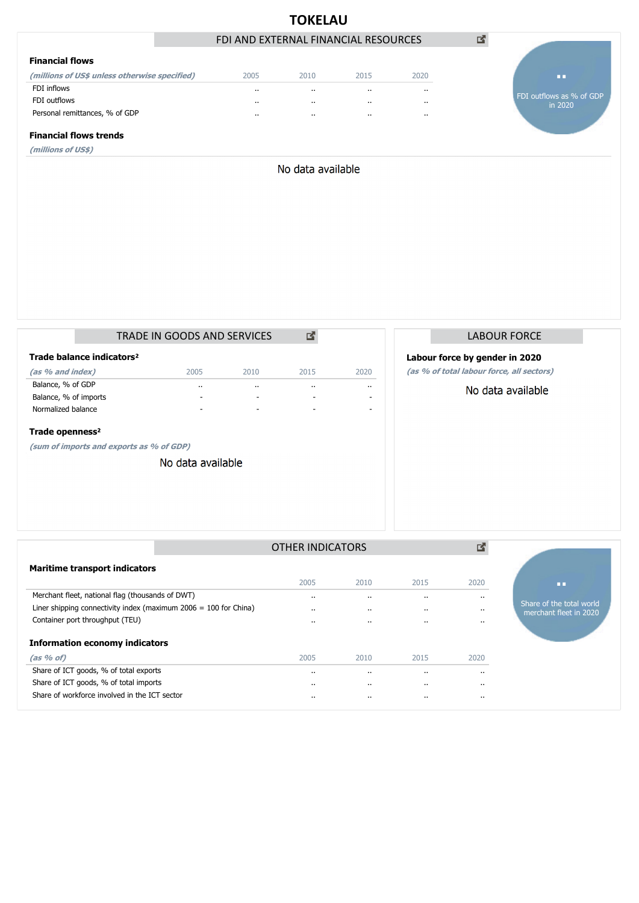|                                               |                                      | <b>TOKELAU</b>    |          |          |                                     |
|-----------------------------------------------|--------------------------------------|-------------------|----------|----------|-------------------------------------|
|                                               | FDI AND EXTERNAL FINANCIAL RESOURCES |                   |          |          | 啓                                   |
| <b>Financial flows</b>                        |                                      |                   |          |          |                                     |
| (millions of US\$ unless otherwise specified) | 2005                                 | 2010              | 2015     | 2020     | <b>DO</b>                           |
| FDI inflows                                   | $\cdots$                             | $\cdot$           | $\cdot$  | $\cdots$ |                                     |
| FDI outflows                                  | $\cdots$                             | $\cdot$           | $\cdots$ |          | FDI outflows as % of GDP<br>in 2020 |
| Personal remittances, % of GDP                | $\cdots$                             | $\cdots$          | $\cdot$  |          |                                     |
| <b>Financial flows trends</b>                 |                                      |                   |          |          |                                     |
| (millions of US\$)                            |                                      |                   |          |          |                                     |
|                                               |                                      | No data available |          |          |                                     |
|                                               |                                      |                   |          |          |                                     |

|                                       |  | <b>TRADE IN GOODS AND SERVICES</b> |           |      |           |  |  |  |  |
|---------------------------------------|--|------------------------------------|-----------|------|-----------|--|--|--|--|
| Trade balance indicators <sup>2</sup> |  |                                    |           |      |           |  |  |  |  |
| (as % and index)                      |  | 2005                               | 2010      | 2015 | 2020      |  |  |  |  |
| Balance, % of GDP                     |  |                                    | $\cdot$ . |      | $\cdot$ . |  |  |  |  |
| Balance, % of imports                 |  |                                    | -         | -    |           |  |  |  |  |
| Normalized balance                    |  | -                                  | -         | -    |           |  |  |  |  |
| Trade openness <sup>2</sup>           |  |                                    |           |      |           |  |  |  |  |

**(sum of imports and exports as % of GDP)**

No data available

## LABOUR FORCE

## **Labour force by gender in 2020**

**(as % of total labour force, all sectors)**

## No data available

|                                                                    | <b>OTHER INDICATORS</b> |                      |      |           |                                                    |
|--------------------------------------------------------------------|-------------------------|----------------------|------|-----------|----------------------------------------------------|
| <b>Maritime transport indicators</b>                               |                         |                      |      |           |                                                    |
|                                                                    | 2005                    | 2010                 | 2015 | 2020      | ш                                                  |
| Merchant fleet, national flag (thousands of DWT)                   | $\cdot$ .               | $\cdots$             |      |           |                                                    |
| Liner shipping connectivity index (maximum $2006 = 100$ for China) | $\cdot$ .               | $\cdots$             |      |           | Share of the total world<br>merchant fleet in 2020 |
| Container port throughput (TEU)                                    | $\cdot$ .               | $\cdot$ .            |      |           |                                                    |
| <b>Information economy indicators</b>                              |                         |                      |      |           |                                                    |
| (as 96 of)                                                         | 2005                    | 2010                 | 2015 | 2020      |                                                    |
| Share of ICT goods, % of total exports                             | $\cdot$ .               | $\ddot{\phantom{0}}$ |      | $\cdot$ . |                                                    |
| Share of ICT goods, % of total imports                             | $\cdot$                 | $\cdots$             |      |           |                                                    |
| Share of workforce involved in the ICT sector                      | $\cdots$                | $\cdots$             |      |           |                                                    |